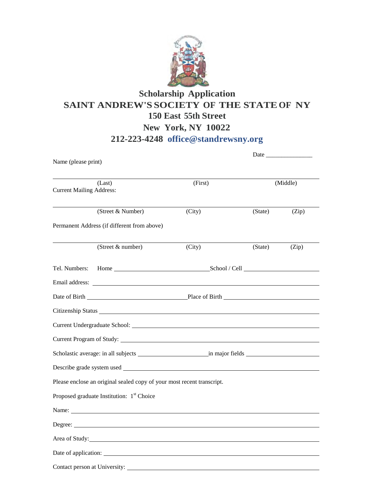

## **Scholarship Application SAINT ANDREW'S SOCIETY OF THE STATEOF NY 150 East 55th Street New York, NY 10022 212-223-4248 [office@standrewsny.org](mailto:office@standrewsny.org)**

| Name (please print)                       |                                                                        | Date and the same state of the state of the state of the state of the state of the state of the state of the state of the state of the state of the state of the state of the state of the state of the state of the state of |          |       |
|-------------------------------------------|------------------------------------------------------------------------|-------------------------------------------------------------------------------------------------------------------------------------------------------------------------------------------------------------------------------|----------|-------|
|                                           |                                                                        |                                                                                                                                                                                                                               |          |       |
| (Last)<br><b>Current Mailing Address:</b> |                                                                        | (First)                                                                                                                                                                                                                       | (Middle) |       |
|                                           | (Street & Number)                                                      | (City)                                                                                                                                                                                                                        | (State)  | (Zip) |
|                                           | Permanent Address (if different from above)                            |                                                                                                                                                                                                                               |          |       |
|                                           | (Street & number)                                                      | (City)                                                                                                                                                                                                                        | (State)  | (Zip) |
| Tel. Numbers:                             |                                                                        | Home School / Cell School 2                                                                                                                                                                                                   |          |       |
|                                           |                                                                        |                                                                                                                                                                                                                               |          |       |
|                                           | Date of Birth Place of Birth Place of Birth                            |                                                                                                                                                                                                                               |          |       |
|                                           |                                                                        |                                                                                                                                                                                                                               |          |       |
|                                           |                                                                        |                                                                                                                                                                                                                               |          |       |
|                                           |                                                                        |                                                                                                                                                                                                                               |          |       |
|                                           |                                                                        |                                                                                                                                                                                                                               |          |       |
|                                           |                                                                        |                                                                                                                                                                                                                               |          |       |
|                                           | Please enclose an original sealed copy of your most recent transcript. |                                                                                                                                                                                                                               |          |       |
|                                           | Proposed graduate Institution: 1 <sup>st</sup> Choice                  |                                                                                                                                                                                                                               |          |       |
|                                           | Name:                                                                  |                                                                                                                                                                                                                               |          |       |
|                                           |                                                                        |                                                                                                                                                                                                                               |          |       |
|                                           | Area of Study:                                                         |                                                                                                                                                                                                                               |          |       |
|                                           |                                                                        |                                                                                                                                                                                                                               |          |       |
|                                           |                                                                        |                                                                                                                                                                                                                               |          |       |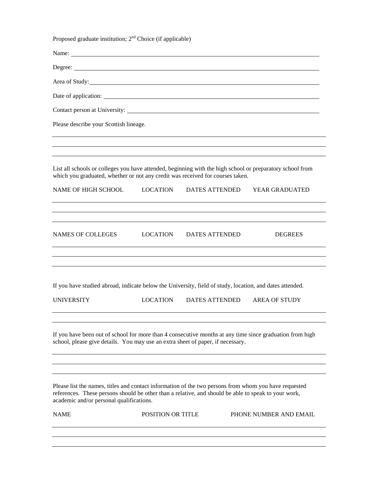| Proposed graduate institution; $2nd$ Choice (if applicable)                                                                                                                                                                                               |                          |                       |                        |
|-----------------------------------------------------------------------------------------------------------------------------------------------------------------------------------------------------------------------------------------------------------|--------------------------|-----------------------|------------------------|
| Name:                                                                                                                                                                                                                                                     |                          |                       |                        |
|                                                                                                                                                                                                                                                           |                          |                       |                        |
|                                                                                                                                                                                                                                                           |                          |                       |                        |
|                                                                                                                                                                                                                                                           |                          |                       |                        |
|                                                                                                                                                                                                                                                           |                          |                       |                        |
| Please describe your Scottish lineage.                                                                                                                                                                                                                    |                          |                       |                        |
|                                                                                                                                                                                                                                                           |                          |                       |                        |
| List all schools or colleges you have attended, beginning with the high school or preparatory school from<br>which you graduated, whether or not any credit was received for courses taken.                                                               |                          |                       |                        |
| NAME OF HIGH SCHOOL                                                                                                                                                                                                                                       | LOCATION                 | DATES ATTENDED        | <b>YEAR GRADUATED</b>  |
|                                                                                                                                                                                                                                                           |                          |                       |                        |
| NAMES OF COLLEGES                                                                                                                                                                                                                                         | LOCATION                 | DATES ATTENDED        | <b>DEGREES</b>         |
|                                                                                                                                                                                                                                                           |                          |                       |                        |
| If you have studied abroad, indicate below the University, field of study, location, and dates attended.                                                                                                                                                  |                          |                       |                        |
| <b>UNIVERSITY</b>                                                                                                                                                                                                                                         | LOCATION                 | <b>DATES ATTENDED</b> | <b>AREA OF STUDY</b>   |
| If you have been out of school for more than 4 consecutive months at any time since graduation from high<br>school, please give details. You may use an extra sheet of paper, if necessary.                                                               |                          |                       |                        |
|                                                                                                                                                                                                                                                           |                          |                       |                        |
| Please list the names, titles and contact information of the two persons from whom you have requested<br>references. These persons should be other than a relative, and should be able to speak to your work,<br>academic and/or personal qualifications. |                          |                       |                        |
| <b>NAME</b>                                                                                                                                                                                                                                               | <b>POSITION OR TITLE</b> |                       | PHONE NUMBER AND EMAIL |
|                                                                                                                                                                                                                                                           |                          |                       |                        |
|                                                                                                                                                                                                                                                           |                          |                       |                        |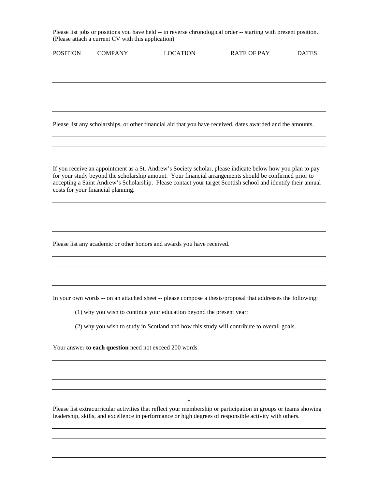Please list jobs or positions you have held -- in reverse chronological order -- starting with present position. (Please attach a current CV with this application)

| <b>POSITION</b> | <b>COMPANY</b>                                          | <b>LOCATION</b>                                                        | <b>RATE OF PAY</b>                                                                                                                                                                                                                                                                                                                   | <b>DATES</b> |
|-----------------|---------------------------------------------------------|------------------------------------------------------------------------|--------------------------------------------------------------------------------------------------------------------------------------------------------------------------------------------------------------------------------------------------------------------------------------------------------------------------------------|--------------|
|                 |                                                         |                                                                        |                                                                                                                                                                                                                                                                                                                                      |              |
|                 |                                                         |                                                                        |                                                                                                                                                                                                                                                                                                                                      |              |
|                 |                                                         |                                                                        |                                                                                                                                                                                                                                                                                                                                      |              |
|                 |                                                         |                                                                        |                                                                                                                                                                                                                                                                                                                                      |              |
|                 |                                                         |                                                                        | Please list any scholarships, or other financial aid that you have received, dates awarded and the amounts.                                                                                                                                                                                                                          |              |
|                 |                                                         |                                                                        |                                                                                                                                                                                                                                                                                                                                      |              |
|                 |                                                         |                                                                        |                                                                                                                                                                                                                                                                                                                                      |              |
|                 | costs for your financial planning.                      |                                                                        | If you receive an appointment as a St. Andrew's Society scholar, please indicate below how you plan to pay<br>for your study beyond the scholarship amount. Your financial arrangements should be confirmed prior to<br>accepting a Saint Andrew's Scholarship. Please contact your target Scottish school and identify their annual |              |
|                 |                                                         |                                                                        |                                                                                                                                                                                                                                                                                                                                      |              |
|                 |                                                         |                                                                        |                                                                                                                                                                                                                                                                                                                                      |              |
|                 |                                                         |                                                                        |                                                                                                                                                                                                                                                                                                                                      |              |
|                 |                                                         | Please list any academic or other honors and awards you have received. |                                                                                                                                                                                                                                                                                                                                      |              |
|                 |                                                         |                                                                        |                                                                                                                                                                                                                                                                                                                                      |              |
|                 |                                                         |                                                                        |                                                                                                                                                                                                                                                                                                                                      |              |
|                 |                                                         |                                                                        |                                                                                                                                                                                                                                                                                                                                      |              |
|                 |                                                         |                                                                        | In your own words -- on an attached sheet -- please compose a thesis/proposal that addresses the following:                                                                                                                                                                                                                          |              |
|                 |                                                         | (1) why you wish to continue your education beyond the present year;   |                                                                                                                                                                                                                                                                                                                                      |              |
|                 |                                                         |                                                                        | (2) why you wish to study in Scotland and how this study will contribute to overall goals.                                                                                                                                                                                                                                           |              |
|                 | Your answer to each question need not exceed 200 words. |                                                                        |                                                                                                                                                                                                                                                                                                                                      |              |
|                 |                                                         |                                                                        |                                                                                                                                                                                                                                                                                                                                      |              |

\*

Please list extracurricular activities that reflect your membership or participation in groups or teams showing leadership, skills, and excellence in performance or high degrees of responsible activity with others.